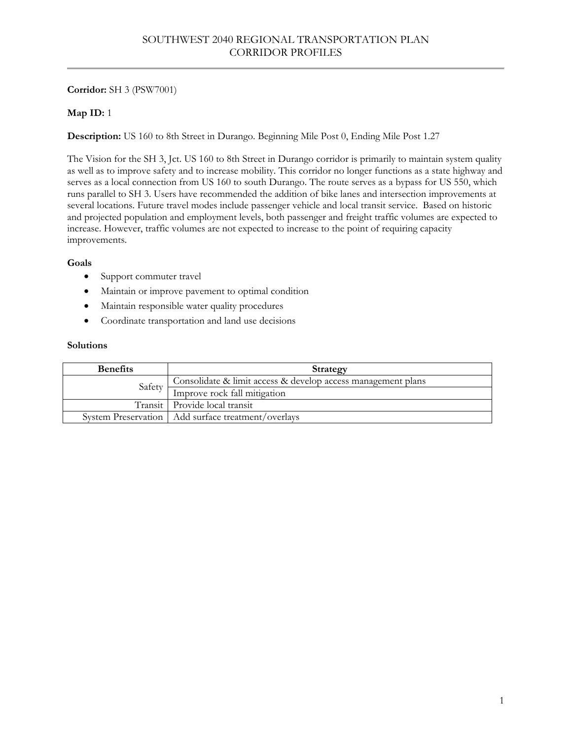# **Corridor:** SH 3 (PSW7001)

# **Map ID:** 1

**Description:** US 160 to 8th Street in Durango. Beginning Mile Post 0, Ending Mile Post 1.27

The Vision for the SH 3, Jct. US 160 to 8th Street in Durango corridor is primarily to maintain system quality as well as to improve safety and to increase mobility. This corridor no longer functions as a state highway and serves as a local connection from US 160 to south Durango. The route serves as a bypass for US 550, which runs parallel to SH 3. Users have recommended the addition of bike lanes and intersection improvements at several locations. Future travel modes include passenger vehicle and local transit service. Based on historic and projected population and employment levels, both passenger and freight traffic volumes are expected to increase. However, traffic volumes are not expected to increase to the point of requiring capacity improvements.

## **Goals**

- Support commuter travel
- Maintain or improve pavement to optimal condition
- Maintain responsible water quality procedures
- Coordinate transportation and land use decisions

| <b>Benefits</b> | Strategy                                                     |
|-----------------|--------------------------------------------------------------|
| Safety          | Consolidate & limit access & develop access management plans |
|                 | Improve rock fall mitigation                                 |
|                 | Transit   Provide local transit                              |
|                 | System Preservation   Add surface treatment/overlays         |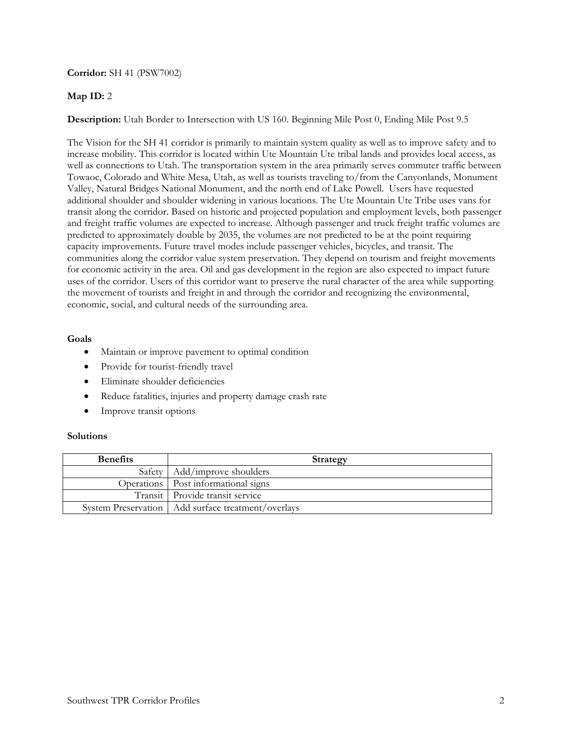### **Corridor:** SH 41 (PSW7002)

## **Map ID:** 2

**Description:** Utah Border to Intersection with US 160. Beginning Mile Post 0, Ending Mile Post 9.5

The Vision for the SH 41 corridor is primarily to maintain system quality as well as to improve safety and to increase mobility. This corridor is located within Ute Mountain Ute tribal lands and provides local access, as well as connections to Utah. The transportation system in the area primarily serves commuter traffic between Towaoc, Colorado and White Mesa, Utah, as well as tourists traveling to/from the Canyonlands, Monument Valley, Natural Bridges National Monument, and the north end of Lake Powell. Users have requested additional shoulder and shoulder widening in various locations. The Ute Mountain Ute Tribe uses vans for transit along the corridor. Based on historic and projected population and employment levels, both passenger and freight traffic volumes are expected to increase. Although passenger and truck freight traffic volumes are predicted to approximately double by 2035, the volumes are not predicted to be at the point requiring capacity improvements. Future travel modes include passenger vehicles, bicycles, and transit. The communities along the corridor value system preservation. They depend on tourism and freight movements for economic activity in the area. Oil and gas development in the region are also expected to impact future uses of the corridor. Users of this corridor want to preserve the rural character of the area while supporting the movement of tourists and freight in and through the corridor and recognizing the environmental, economic, social, and cultural needs of the surrounding area.

### **Goals**

- Maintain or improve pavement to optimal condition
- Provide for tourist-friendly travel
- Eliminate shoulder deficiencies
- Reduce fatalities, injuries and property damage crash rate
- Improve transit options

| <b>Benefits</b> | Strategy                                             |
|-----------------|------------------------------------------------------|
|                 | Safety   Add/improve shoulders                       |
|                 | Operations   Post informational signs                |
|                 | Transit   Provide transit service                    |
|                 | System Preservation   Add surface treatment/overlays |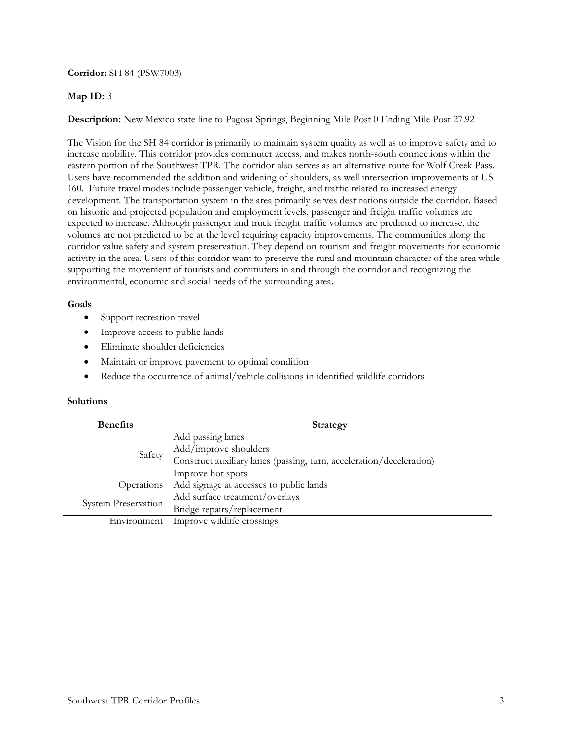## **Corridor:** SH 84 (PSW7003)

## **Map ID:** 3

**Description:** New Mexico state line to Pagosa Springs, Beginning Mile Post 0 Ending Mile Post 27.92

The Vision for the SH 84 corridor is primarily to maintain system quality as well as to improve safety and to increase mobility. This corridor provides commuter access, and makes north-south connections within the eastern portion of the Southwest TPR. The corridor also serves as an alternative route for Wolf Creek Pass. Users have recommended the addition and widening of shoulders, as well intersection improvements at US 160. Future travel modes include passenger vehicle, freight, and traffic related to increased energy development. The transportation system in the area primarily serves destinations outside the corridor. Based on historic and projected population and employment levels, passenger and freight traffic volumes are expected to increase. Although passenger and truck freight traffic volumes are predicted to increase, the volumes are not predicted to be at the level requiring capacity improvements. The communities along the corridor value safety and system preservation. They depend on tourism and freight movements for economic activity in the area. Users of this corridor want to preserve the rural and mountain character of the area while supporting the movement of tourists and commuters in and through the corridor and recognizing the environmental, economic and social needs of the surrounding area.

#### **Goals**

- Support recreation travel
- Improve access to public lands
- Eliminate shoulder deficiencies
- Maintain or improve pavement to optimal condition
- Reduce the occurrence of animal/vehicle collisions in identified wildlife corridors

| <b>Benefits</b>     | Strategy                                                             |
|---------------------|----------------------------------------------------------------------|
| Safety              | Add passing lanes                                                    |
|                     | Add/improve shoulders                                                |
|                     | Construct auxiliary lanes (passing, turn, acceleration/deceleration) |
|                     | Improve hot spots                                                    |
| Operations          | Add signage at accesses to public lands                              |
| System Preservation | Add surface treatment/overlays                                       |
|                     | Bridge repairs/replacement                                           |
| Environment         | Improve wildlife crossings                                           |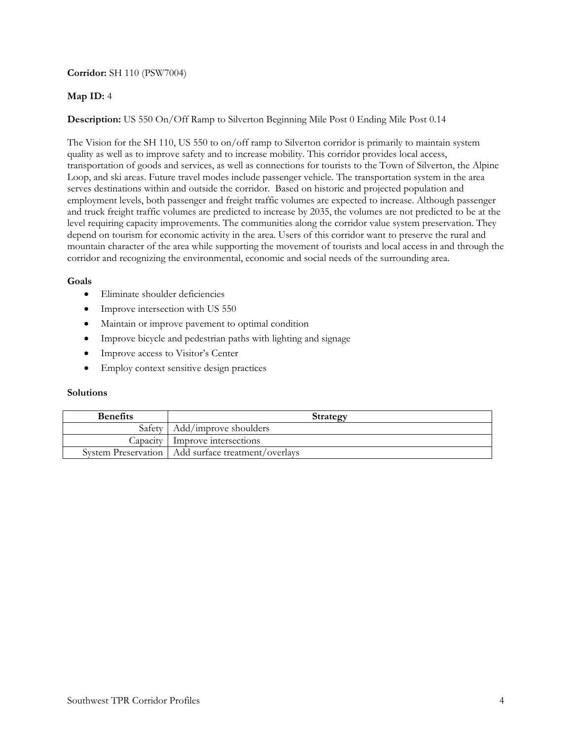## **Corridor:** SH 110 (PSW7004)

# **Map ID:** 4

**Description:** US 550 On/Off Ramp to Silverton Beginning Mile Post 0 Ending Mile Post 0.14

The Vision for the SH 110, US 550 to on/off ramp to Silverton corridor is primarily to maintain system quality as well as to improve safety and to increase mobility. This corridor provides local access, transportation of goods and services, as well as connections for tourists to the Town of Silverton, the Alpine Loop, and ski areas. Future travel modes include passenger vehicle. The transportation system in the area serves destinations within and outside the corridor. Based on historic and projected population and employment levels, both passenger and freight traffic volumes are expected to increase. Although passenger and truck freight traffic volumes are predicted to increase by 2035, the volumes are not predicted to be at the level requiring capacity improvements. The communities along the corridor value system preservation. They depend on tourism for economic activity in the area. Users of this corridor want to preserve the rural and mountain character of the area while supporting the movement of tourists and local access in and through the corridor and recognizing the environmental, economic and social needs of the surrounding area.

## **Goals**

- Eliminate shoulder deficiencies
- Improve intersection with US 550
- Maintain or improve pavement to optimal condition
- Improve bicycle and pedestrian paths with lighting and signage
- Improve access to Visitor's Center
- Employ context sensitive design practices

| <b>Benefits</b> | Strategy                                             |
|-----------------|------------------------------------------------------|
|                 | Safety   Add/improve shoulders                       |
|                 | Capacity Improve intersections                       |
|                 | System Preservation   Add surface treatment/overlays |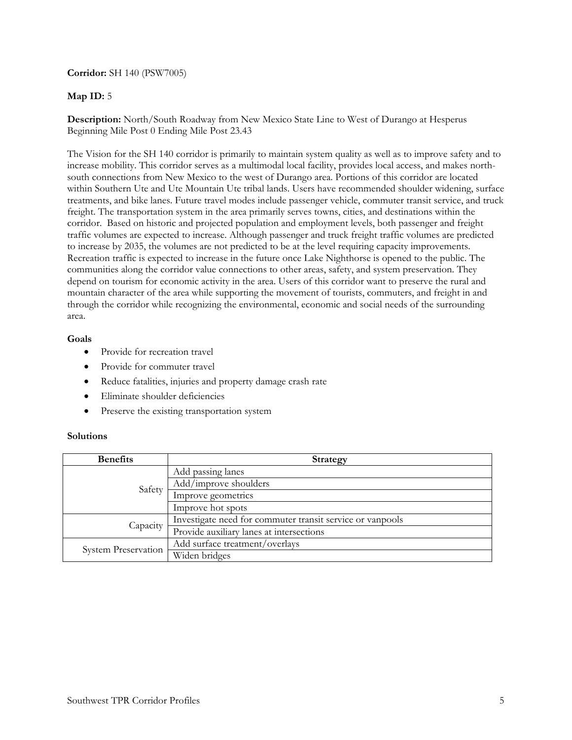### **Corridor:** SH 140 (PSW7005)

## **Map ID:** 5

**Description:** North/South Roadway from New Mexico State Line to West of Durango at Hesperus Beginning Mile Post 0 Ending Mile Post 23.43

The Vision for the SH 140 corridor is primarily to maintain system quality as well as to improve safety and to increase mobility. This corridor serves as a multimodal local facility, provides local access, and makes northsouth connections from New Mexico to the west of Durango area. Portions of this corridor are located within Southern Ute and Ute Mountain Ute tribal lands. Users have recommended shoulder widening, surface treatments, and bike lanes. Future travel modes include passenger vehicle, commuter transit service, and truck freight. The transportation system in the area primarily serves towns, cities, and destinations within the corridor. Based on historic and projected population and employment levels, both passenger and freight traffic volumes are expected to increase. Although passenger and truck freight traffic volumes are predicted to increase by 2035, the volumes are not predicted to be at the level requiring capacity improvements. Recreation traffic is expected to increase in the future once Lake Nighthorse is opened to the public. The communities along the corridor value connections to other areas, safety, and system preservation. They depend on tourism for economic activity in the area. Users of this corridor want to preserve the rural and mountain character of the area while supporting the movement of tourists, commuters, and freight in and through the corridor while recognizing the environmental, economic and social needs of the surrounding area.

### **Goals**

- Provide for recreation travel
- Provide for commuter travel
- Reduce fatalities, injuries and property damage crash rate
- Eliminate shoulder deficiencies
- Preserve the existing transportation system

| <b>Benefits</b>     | <b>Strategy</b>                                           |
|---------------------|-----------------------------------------------------------|
| Safety              | Add passing lanes                                         |
|                     | Add/improve shoulders                                     |
|                     | Improve geometrics                                        |
|                     | Improve hot spots                                         |
| Capacity            | Investigate need for commuter transit service or vanpools |
|                     | Provide auxiliary lanes at intersections                  |
| System Preservation | Add surface treatment/overlays                            |
|                     | Widen bridges                                             |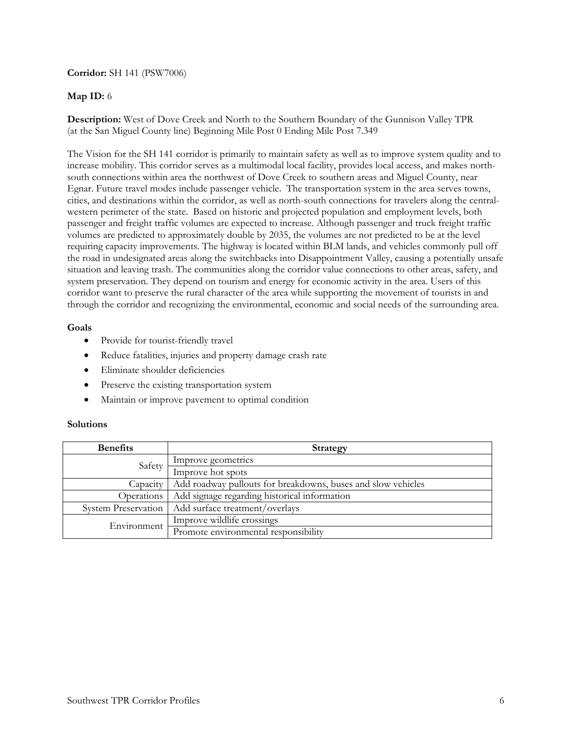## **Corridor:** SH 141 (PSW7006)

## **Map ID:** 6

**Description:** West of Dove Creek and North to the Southern Boundary of the Gunnison Valley TPR (at the San Miguel County line) Beginning Mile Post 0 Ending Mile Post 7.349

The Vision for the SH 141 corridor is primarily to maintain safety as well as to improve system quality and to increase mobility. This corridor serves as a multimodal local facility, provides local access, and makes northsouth connections within area the northwest of Dove Creek to southern areas and Miguel County, near Egnar. Future travel modes include passenger vehicle. The transportation system in the area serves towns, cities, and destinations within the corridor, as well as north-south connections for travelers along the centralwestern perimeter of the state. Based on historic and projected population and employment levels, both passenger and freight traffic volumes are expected to increase. Although passenger and truck freight traffic volumes are predicted to approximately double by 2035, the volumes are not predicted to be at the level requiring capacity improvements. The highway is located within BLM lands, and vehicles commonly pull off the road in undesignated areas along the switchbacks into Disappointment Valley, causing a potentially unsafe situation and leaving trash. The communities along the corridor value connections to other areas, safety, and system preservation. They depend on tourism and energy for economic activity in the area. Users of this corridor want to preserve the rural character of the area while supporting the movement of tourists in and through the corridor and recognizing the environmental, economic and social needs of the surrounding area.

#### **Goals**

- Provide for tourist-friendly travel
- Reduce fatalities, injuries and property damage crash rate
- Eliminate shoulder deficiencies
- Preserve the existing transportation system
- Maintain or improve pavement to optimal condition

| <b>Benefits</b>     | <b>Strategy</b>                                              |
|---------------------|--------------------------------------------------------------|
| Safety              | Improve geometrics                                           |
|                     | Improve hot spots                                            |
| Capacity            | Add roadway pullouts for breakdowns, buses and slow vehicles |
| Operations          | Add signage regarding historical information                 |
| System Preservation | Add surface treatment/overlays                               |
| Environment         | Improve wildlife crossings                                   |
|                     | Promote environmental responsibility                         |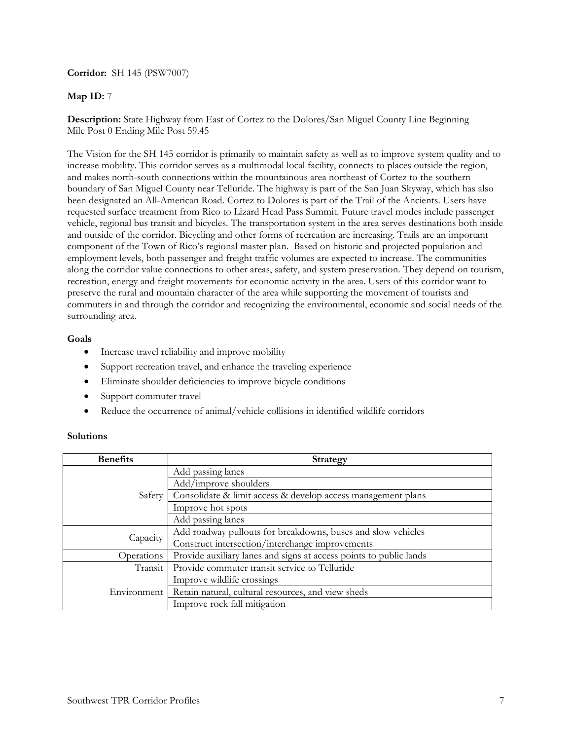### **Corridor:** SH 145 (PSW7007)

## **Map ID:** 7

**Description:** State Highway from East of Cortez to the Dolores/San Miguel County Line Beginning Mile Post 0 Ending Mile Post 59.45

The Vision for the SH 145 corridor is primarily to maintain safety as well as to improve system quality and to increase mobility. This corridor serves as a multimodal local facility, connects to places outside the region, and makes north-south connections within the mountainous area northeast of Cortez to the southern boundary of San Miguel County near Telluride. The highway is part of the San Juan Skyway, which has also been designated an All-American Road. Cortez to Dolores is part of the Trail of the Ancients. Users have requested surface treatment from Rico to Lizard Head Pass Summit. Future travel modes include passenger vehicle, regional bus transit and bicycles. The transportation system in the area serves destinations both inside and outside of the corridor. Bicycling and other forms of recreation are increasing. Trails are an important component of the Town of Rico's regional master plan. Based on historic and projected population and employment levels, both passenger and freight traffic volumes are expected to increase. The communities along the corridor value connections to other areas, safety, and system preservation. They depend on tourism, recreation, energy and freight movements for economic activity in the area. Users of this corridor want to preserve the rural and mountain character of the area while supporting the movement of tourists and commuters in and through the corridor and recognizing the environmental, economic and social needs of the surrounding area.

### **Goals**

- Increase travel reliability and improve mobility
- Support recreation travel, and enhance the traveling experience
- Eliminate shoulder deficiencies to improve bicycle conditions
- Support commuter travel
- Reduce the occurrence of animal/vehicle collisions in identified wildlife corridors

| <b>Benefits</b> | <b>Strategy</b>                                                    |
|-----------------|--------------------------------------------------------------------|
|                 | Add passing lanes                                                  |
|                 | Add/improve shoulders                                              |
| Safety          | Consolidate & limit access & develop access management plans       |
|                 | Improve hot spots                                                  |
|                 | Add passing lanes                                                  |
| Capacity        | Add roadway pullouts for breakdowns, buses and slow vehicles       |
|                 | Construct intersection/interchange improvements                    |
| Operations      | Provide auxiliary lanes and signs at access points to public lands |
| Transit         | Provide commuter transit service to Telluride                      |
| Environment     | Improve wildlife crossings                                         |
|                 | Retain natural, cultural resources, and view sheds                 |
|                 | Improve rock fall mitigation                                       |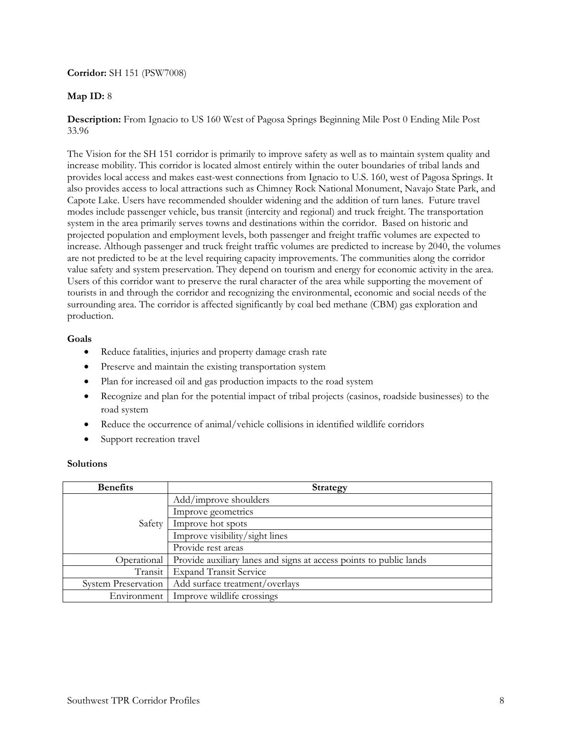## **Corridor:** SH 151 (PSW7008)

## **Map ID:** 8

## **Description:** From Ignacio to US 160 West of Pagosa Springs Beginning Mile Post 0 Ending Mile Post 33.96

The Vision for the SH 151 corridor is primarily to improve safety as well as to maintain system quality and increase mobility. This corridor is located almost entirely within the outer boundaries of tribal lands and provides local access and makes east-west connections from Ignacio to U.S. 160, west of Pagosa Springs. It also provides access to local attractions such as Chimney Rock National Monument, Navajo State Park, and Capote Lake. Users have recommended shoulder widening and the addition of turn lanes. Future travel modes include passenger vehicle, bus transit (intercity and regional) and truck freight. The transportation system in the area primarily serves towns and destinations within the corridor. Based on historic and projected population and employment levels, both passenger and freight traffic volumes are expected to increase. Although passenger and truck freight traffic volumes are predicted to increase by 2040, the volumes are not predicted to be at the level requiring capacity improvements. The communities along the corridor value safety and system preservation. They depend on tourism and energy for economic activity in the area. Users of this corridor want to preserve the rural character of the area while supporting the movement of tourists in and through the corridor and recognizing the environmental, economic and social needs of the surrounding area. The corridor is affected significantly by coal bed methane (CBM) gas exploration and production.

### **Goals**

- Reduce fatalities, injuries and property damage crash rate
- Preserve and maintain the existing transportation system
- Plan for increased oil and gas production impacts to the road system
- Recognize and plan for the potential impact of tribal projects (casinos, roadside businesses) to the road system
- Reduce the occurrence of animal/vehicle collisions in identified wildlife corridors
- Support recreation travel

| <b>Benefits</b>            | <b>Strategy</b>                                                    |
|----------------------------|--------------------------------------------------------------------|
| Safety                     | Add/improve shoulders                                              |
|                            | Improve geometrics                                                 |
|                            | Improve hot spots                                                  |
|                            | Improve visibility/sight lines                                     |
|                            | Provide rest areas                                                 |
| Operational                | Provide auxiliary lanes and signs at access points to public lands |
| Transit                    | <b>Expand Transit Service</b>                                      |
| <b>System Preservation</b> | Add surface treatment/overlays                                     |
| Environment                | Improve wildlife crossings                                         |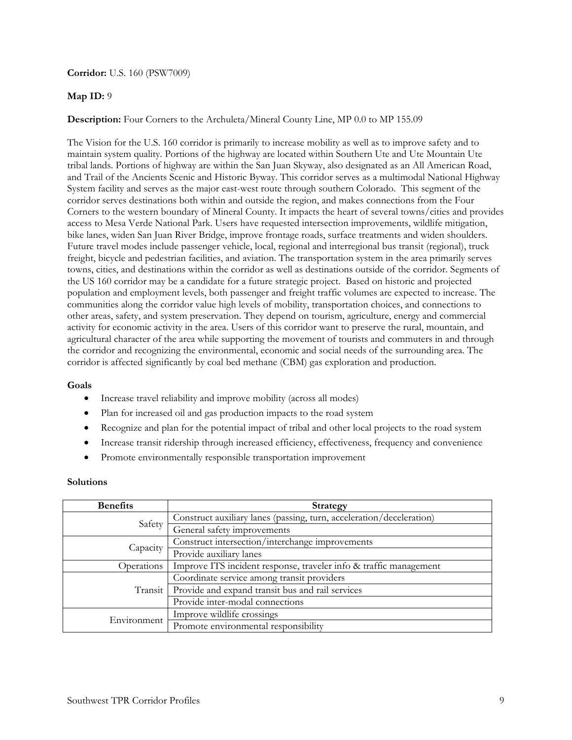**Corridor:** U.S. 160 (PSW7009)

## **Map ID:** 9

## **Description:** Four Corners to the Archuleta/Mineral County Line, MP 0.0 to MP 155.09

The Vision for the U.S. 160 corridor is primarily to increase mobility as well as to improve safety and to maintain system quality. Portions of the highway are located within Southern Ute and Ute Mountain Ute tribal lands. Portions of highway are within the San Juan Skyway, also designated as an All American Road, and Trail of the Ancients Scenic and Historic Byway. This corridor serves as a multimodal National Highway System facility and serves as the major east-west route through southern Colorado. This segment of the corridor serves destinations both within and outside the region, and makes connections from the Four Corners to the western boundary of Mineral County. It impacts the heart of several towns/cities and provides access to Mesa Verde National Park. Users have requested intersection improvements, wildlife mitigation, bike lanes, widen San Juan River Bridge, improve frontage roads, surface treatments and widen shoulders. Future travel modes include passenger vehicle, local, regional and interregional bus transit (regional), truck freight, bicycle and pedestrian facilities, and aviation. The transportation system in the area primarily serves towns, cities, and destinations within the corridor as well as destinations outside of the corridor. Segments of the US 160 corridor may be a candidate for a future strategic project. Based on historic and projected population and employment levels, both passenger and freight traffic volumes are expected to increase. The communities along the corridor value high levels of mobility, transportation choices, and connections to other areas, safety, and system preservation. They depend on tourism, agriculture, energy and commercial activity for economic activity in the area. Users of this corridor want to preserve the rural, mountain, and agricultural character of the area while supporting the movement of tourists and commuters in and through the corridor and recognizing the environmental, economic and social needs of the surrounding area. The corridor is affected significantly by coal bed methane (CBM) gas exploration and production.

## **Goals**

- Increase travel reliability and improve mobility (across all modes)
- Plan for increased oil and gas production impacts to the road system
- Recognize and plan for the potential impact of tribal and other local projects to the road system
- Increase transit ridership through increased efficiency, effectiveness, frequency and convenience
- Promote environmentally responsible transportation improvement

| <b>Benefits</b> | <b>Strategy</b>                                                      |
|-----------------|----------------------------------------------------------------------|
| Safety          | Construct auxiliary lanes (passing, turn, acceleration/deceleration) |
|                 | General safety improvements                                          |
| Capacity        | Construct intersection/interchange improvements                      |
|                 | Provide auxiliary lanes                                              |
| Operations      | Improve ITS incident response, traveler info & traffic management    |
| Transit         | Coordinate service among transit providers                           |
|                 | Provide and expand transit bus and rail services                     |
|                 | Provide inter-modal connections                                      |
| Environment     | Improve wildlife crossings                                           |
|                 | Promote environmental responsibility                                 |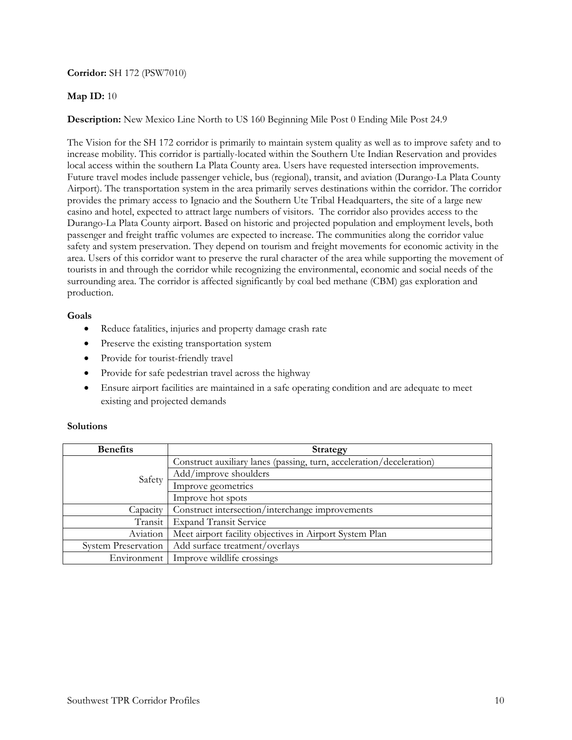## **Corridor:** SH 172 (PSW7010)

### **Map ID:** 10

**Description:** New Mexico Line North to US 160 Beginning Mile Post 0 Ending Mile Post 24.9

The Vision for the SH 172 corridor is primarily to maintain system quality as well as to improve safety and to increase mobility. This corridor is partially-located within the Southern Ute Indian Reservation and provides local access within the southern La Plata County area. Users have requested intersection improvements. Future travel modes include passenger vehicle, bus (regional), transit, and aviation (Durango-La Plata County Airport). The transportation system in the area primarily serves destinations within the corridor. The corridor provides the primary access to Ignacio and the Southern Ute Tribal Headquarters, the site of a large new casino and hotel, expected to attract large numbers of visitors. The corridor also provides access to the Durango-La Plata County airport. Based on historic and projected population and employment levels, both passenger and freight traffic volumes are expected to increase. The communities along the corridor value safety and system preservation. They depend on tourism and freight movements for economic activity in the area. Users of this corridor want to preserve the rural character of the area while supporting the movement of tourists in and through the corridor while recognizing the environmental, economic and social needs of the surrounding area. The corridor is affected significantly by coal bed methane (CBM) gas exploration and production.

### **Goals**

- Reduce fatalities, injuries and property damage crash rate
- Preserve the existing transportation system
- Provide for tourist-friendly travel
- Provide for safe pedestrian travel across the highway
- Ensure airport facilities are maintained in a safe operating condition and are adequate to meet existing and projected demands

| <b>Benefits</b>            | <b>Strategy</b>                                                      |
|----------------------------|----------------------------------------------------------------------|
| Safety                     | Construct auxiliary lanes (passing, turn, acceleration/deceleration) |
|                            | Add/improve shoulders                                                |
|                            | Improve geometrics                                                   |
|                            | Improve hot spots                                                    |
| Capacity                   | Construct intersection/interchange improvements                      |
| Transit                    | <b>Expand Transit Service</b>                                        |
| Aviation                   | Meet airport facility objectives in Airport System Plan              |
| <b>System Preservation</b> | Add surface treatment/overlays                                       |
| Environment                | Improve wildlife crossings                                           |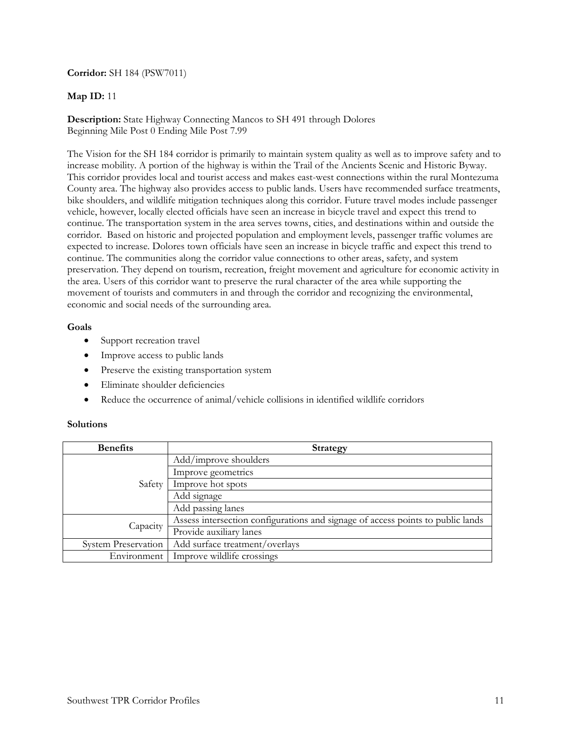### **Corridor:** SH 184 (PSW7011)

### **Map ID:** 11

**Description:** State Highway Connecting Mancos to SH 491 through Dolores Beginning Mile Post 0 Ending Mile Post 7.99

The Vision for the SH 184 corridor is primarily to maintain system quality as well as to improve safety and to increase mobility. A portion of the highway is within the Trail of the Ancients Scenic and Historic Byway. This corridor provides local and tourist access and makes east-west connections within the rural Montezuma County area. The highway also provides access to public lands. Users have recommended surface treatments, bike shoulders, and wildlife mitigation techniques along this corridor. Future travel modes include passenger vehicle, however, locally elected officials have seen an increase in bicycle travel and expect this trend to continue. The transportation system in the area serves towns, cities, and destinations within and outside the corridor. Based on historic and projected population and employment levels, passenger traffic volumes are expected to increase. Dolores town officials have seen an increase in bicycle traffic and expect this trend to continue. The communities along the corridor value connections to other areas, safety, and system preservation. They depend on tourism, recreation, freight movement and agriculture for economic activity in the area. Users of this corridor want to preserve the rural character of the area while supporting the movement of tourists and commuters in and through the corridor and recognizing the environmental, economic and social needs of the surrounding area.

#### **Goals**

- Support recreation travel
- Improve access to public lands
- Preserve the existing transportation system
- Eliminate shoulder deficiencies
- Reduce the occurrence of animal/vehicle collisions in identified wildlife corridors

| <b>Benefits</b>            | <b>Strategy</b>                                                                 |
|----------------------------|---------------------------------------------------------------------------------|
| Safety                     | Add/improve shoulders                                                           |
|                            | Improve geometrics                                                              |
|                            | Improve hot spots                                                               |
|                            | Add signage                                                                     |
|                            | Add passing lanes                                                               |
| Capacity                   | Assess intersection configurations and signage of access points to public lands |
|                            | Provide auxiliary lanes                                                         |
| <b>System Preservation</b> | Add surface treatment/overlays                                                  |
| Environment                | Improve wildlife crossings                                                      |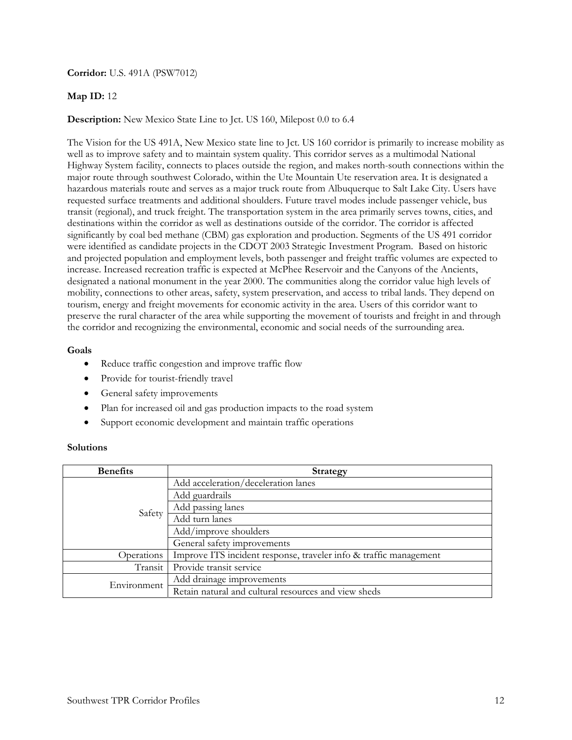### **Corridor:** U.S. 491A (PSW7012)

## **Map ID:** 12

**Description:** New Mexico State Line to Jct. US 160, Milepost 0.0 to 6.4

The Vision for the US 491A, New Mexico state line to Jct. US 160 corridor is primarily to increase mobility as well as to improve safety and to maintain system quality. This corridor serves as a multimodal National Highway System facility, connects to places outside the region, and makes north-south connections within the major route through southwest Colorado, within the Ute Mountain Ute reservation area. It is designated a hazardous materials route and serves as a major truck route from Albuquerque to Salt Lake City. Users have requested surface treatments and additional shoulders. Future travel modes include passenger vehicle, bus transit (regional), and truck freight. The transportation system in the area primarily serves towns, cities, and destinations within the corridor as well as destinations outside of the corridor. The corridor is affected significantly by coal bed methane (CBM) gas exploration and production. Segments of the US 491 corridor were identified as candidate projects in the CDOT 2003 Strategic Investment Program. Based on historic and projected population and employment levels, both passenger and freight traffic volumes are expected to increase. Increased recreation traffic is expected at McPhee Reservoir and the Canyons of the Ancients, designated a national monument in the year 2000. The communities along the corridor value high levels of mobility, connections to other areas, safety, system preservation, and access to tribal lands. They depend on tourism, energy and freight movements for economic activity in the area. Users of this corridor want to preserve the rural character of the area while supporting the movement of tourists and freight in and through the corridor and recognizing the environmental, economic and social needs of the surrounding area.

#### **Goals**

- Reduce traffic congestion and improve traffic flow
- Provide for tourist-friendly travel
- General safety improvements
- Plan for increased oil and gas production impacts to the road system
- Support economic development and maintain traffic operations

| <b>Benefits</b> | <b>Strategy</b>                                                   |
|-----------------|-------------------------------------------------------------------|
| Safety          | Add acceleration/deceleration lanes                               |
|                 | Add guardrails                                                    |
|                 | Add passing lanes                                                 |
|                 | Add turn lanes                                                    |
|                 | Add/improve shoulders                                             |
|                 | General safety improvements                                       |
| Operations      | Improve ITS incident response, traveler info & traffic management |
| Transit         | Provide transit service                                           |
| Environment     | Add drainage improvements                                         |
|                 | Retain natural and cultural resources and view sheds              |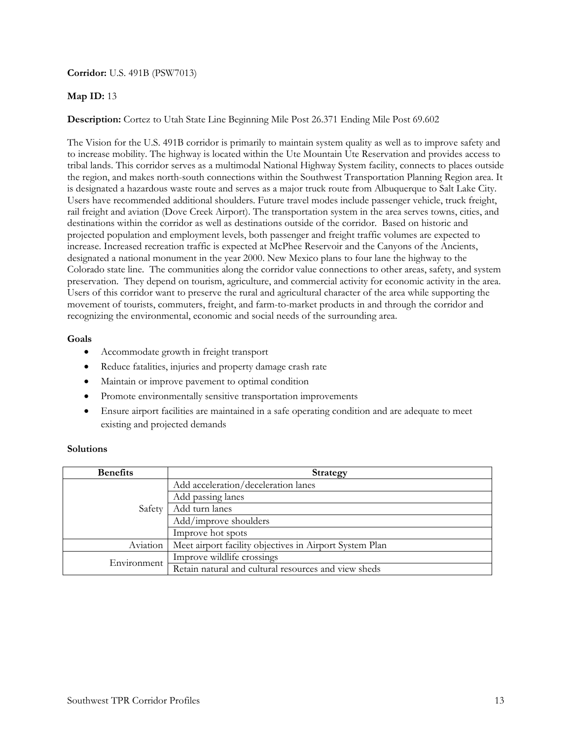### **Corridor:** U.S. 491B (PSW7013)

### **Map ID:** 13

**Description:** Cortez to Utah State Line Beginning Mile Post 26.371 Ending Mile Post 69.602

The Vision for the U.S. 491B corridor is primarily to maintain system quality as well as to improve safety and to increase mobility. The highway is located within the Ute Mountain Ute Reservation and provides access to tribal lands. This corridor serves as a multimodal National Highway System facility, connects to places outside the region, and makes north-south connections within the Southwest Transportation Planning Region area. It is designated a hazardous waste route and serves as a major truck route from Albuquerque to Salt Lake City. Users have recommended additional shoulders. Future travel modes include passenger vehicle, truck freight, rail freight and aviation (Dove Creek Airport). The transportation system in the area serves towns, cities, and destinations within the corridor as well as destinations outside of the corridor. Based on historic and projected population and employment levels, both passenger and freight traffic volumes are expected to increase. Increased recreation traffic is expected at McPhee Reservoir and the Canyons of the Ancients, designated a national monument in the year 2000. New Mexico plans to four lane the highway to the Colorado state line. The communities along the corridor value connections to other areas, safety, and system preservation. They depend on tourism, agriculture, and commercial activity for economic activity in the area. Users of this corridor want to preserve the rural and agricultural character of the area while supporting the movement of tourists, commuters, freight, and farm-to-market products in and through the corridor and recognizing the environmental, economic and social needs of the surrounding area.

### **Goals**

- Accommodate growth in freight transport
- Reduce fatalities, injuries and property damage crash rate
- Maintain or improve pavement to optimal condition
- Promote environmentally sensitive transportation improvements
- Ensure airport facilities are maintained in a safe operating condition and are adequate to meet existing and projected demands

| <b>Benefits</b> | <b>Strategy</b>                                         |
|-----------------|---------------------------------------------------------|
| Safety          | Add acceleration/deceleration lanes                     |
|                 | Add passing lanes                                       |
|                 | Add turn lanes                                          |
|                 | Add/improve shoulders                                   |
|                 | Improve hot spots                                       |
| Aviation        | Meet airport facility objectives in Airport System Plan |
| Environment     | Improve wildlife crossings                              |
|                 | Retain natural and cultural resources and view sheds    |